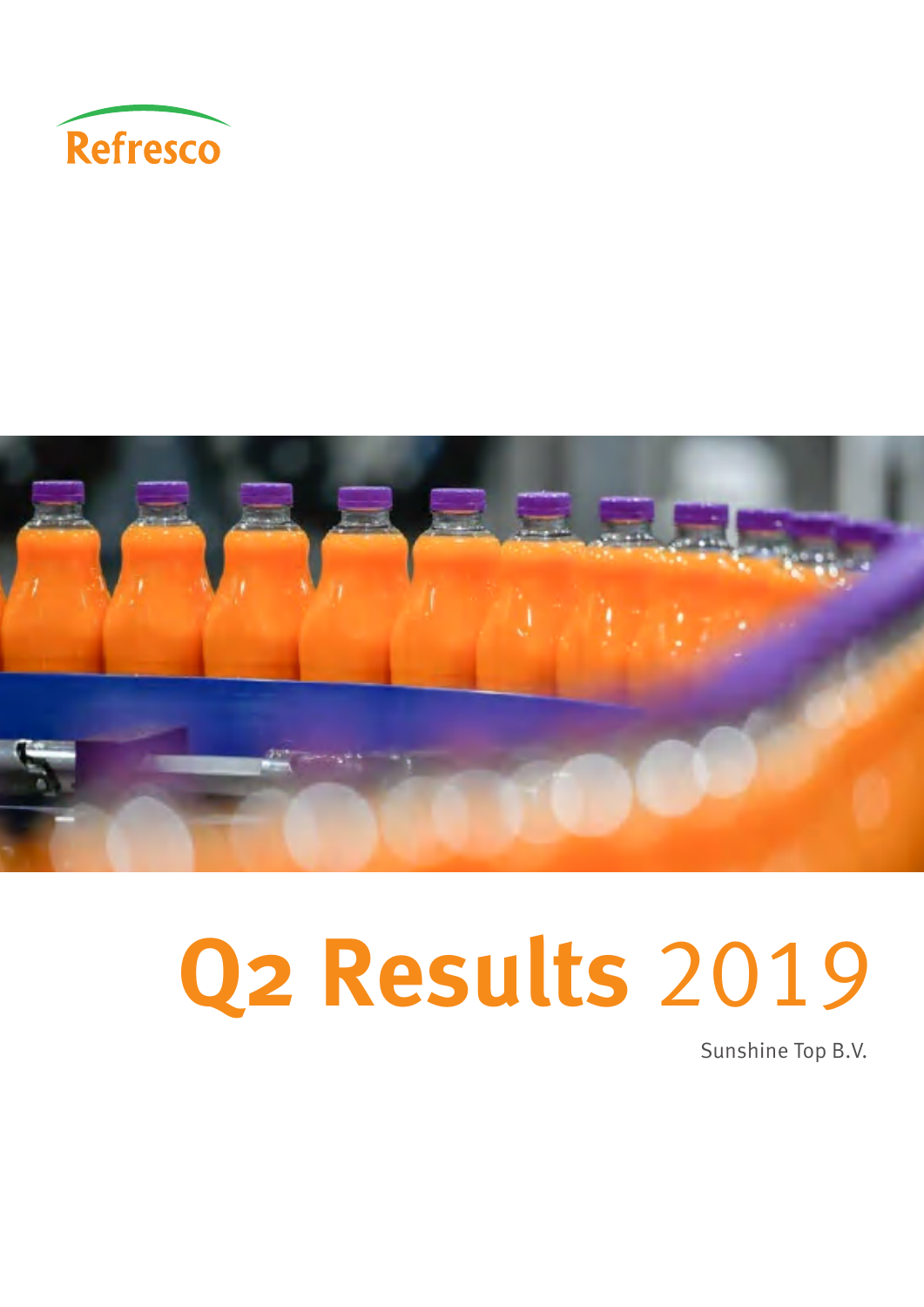



# **Q2 Results** 2019

Sunshine Top B.V.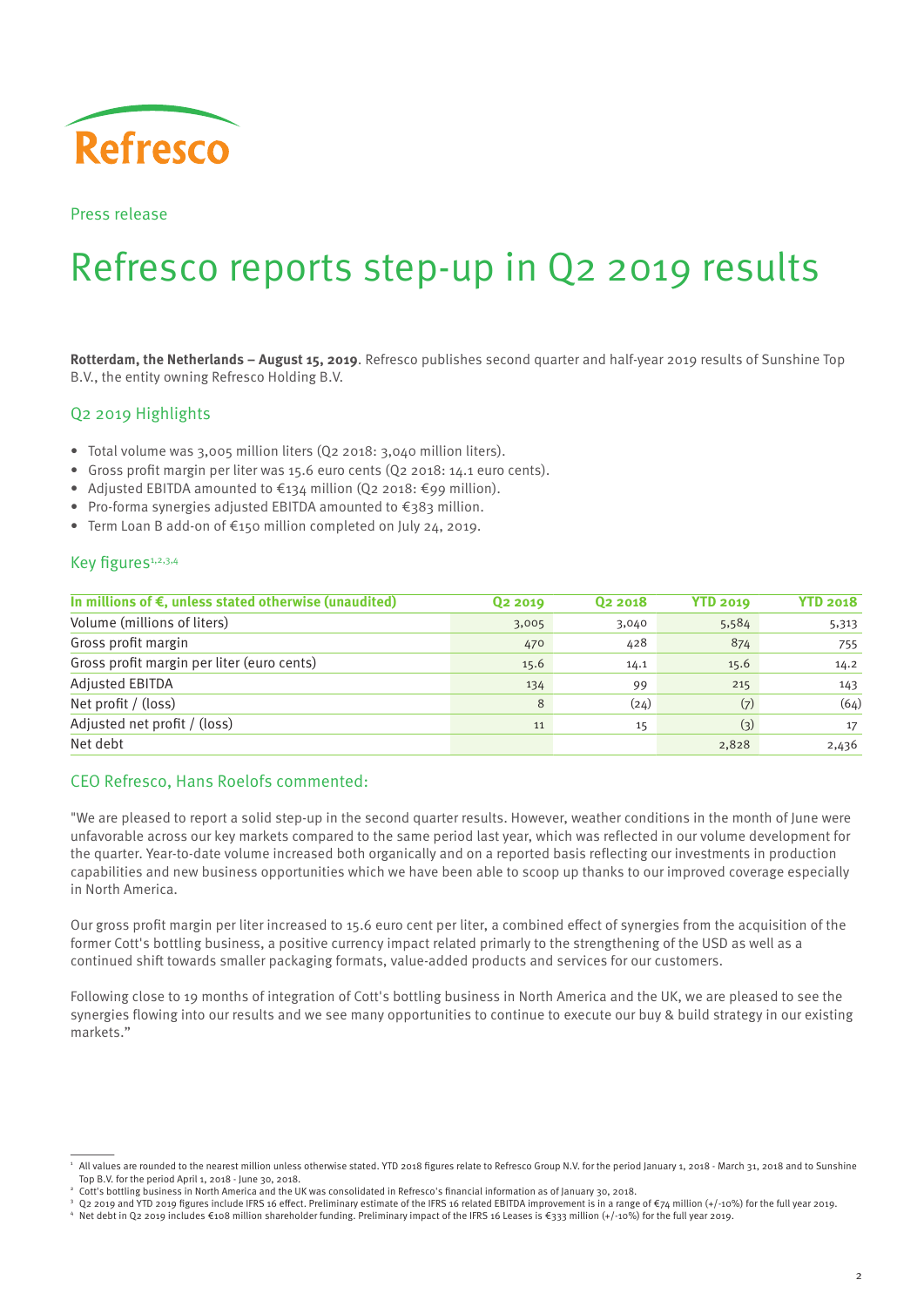

Press release

## Refresco reports step-up in Q2 2019 results

**Rotterdam, the Netherlands – August 15, 2019**. Refresco publishes second quarter and half-year 2019 results of Sunshine Top B.V., the entity owning Refresco Holding B.V.

#### Q2 2019 Highlights

- Total volume was 3,005 million liters (Q2 2018: 3,040 million liters).
- Gross profit margin per liter was 15.6 euro cents (Q2 2018: 14.1 euro cents).
- Adjusted EBITDA amounted to €134 million (Q2 2018: €99 million).
- Pro-forma synergies adjusted EBITDA amounted to €383 million.
- Term Loan B add-on of €150 million completed on July 24, 2019.

#### Key figures<sup>1,2,3,4</sup>

| In millions of $\epsilon$ , unless stated otherwise (unaudited) | Q <sub>2</sub> 2019 | Q <sub>2</sub> 2018 | <b>YTD 2019</b> | <b>YTD 2018</b> |
|-----------------------------------------------------------------|---------------------|---------------------|-----------------|-----------------|
| Volume (millions of liters)                                     | 3,005               | 3,040               | 5,584           | 5,313           |
| Gross profit margin                                             | 470                 | 428                 | 874             | 755             |
| Gross profit margin per liter (euro cents)                      | 15.6                | 14.1                | 15.6            | 14.2            |
| Adjusted EBITDA                                                 | 134                 | 99                  | 215             | 143             |
| Net profit / (loss)                                             | 8                   | (24)                | (7)             | (64)            |
| Adjusted net profit / (loss)                                    | 11                  | 15                  | (3)             | 17              |
| Net debt                                                        |                     |                     | 2,828           | 2,436           |

#### CEO Refresco, Hans Roelofs commented:

"We are pleased to report a solid step-up in the second quarter results. However, weather conditions in the month of June were unfavorable across our key markets compared to the same period last year, which was reflected in our volume development for the quarter. Year-to-date volume increased both organically and on a reported basis reflecting our investments in production capabilities and new business opportunities which we have been able to scoop up thanks to our improved coverage especially in North America.

Our gross profit margin per liter increased to 15.6 euro cent per liter, a combined effect of synergies from the acquisition of the former Cott's bottling business, a positive currency impact related primarly to the strengthening of the USD as well as a continued shift towards smaller packaging formats, value-added products and services for our customers.

Following close to 19 months of integration of Cott's bottling business in North America and the UK, we are pleased to see the synergies flowing into our results and we see many opportunities to continue to execute our buy & build strategy in our existing markets."

All values are rounded to the nearest million unless otherwise stated. YTD 2018 figures relate to Refresco Group N.V. for the period January 1, 2018 - March 31, 2018 and to Sunshine Top B.V. for the period April 1, 2018 - June 30, 2018.

<sup>2</sup> Cott's bottling business in North America and the UK was consolidated in Refresco's financial information as of January 30, 2018.

O2 2019 and YTD 2019 figures include IFRS 16 effect. Preliminary estimate of the IFRS 16 related EBITDA improvement is in a range of €74 million (+/-10%) for the full year 2019.

Net debt in Q2 2019 includes €108 million shareholder funding. Preliminary impact of the IFRS 16 Leases is €333 million (+/-10%) for the full year 2019.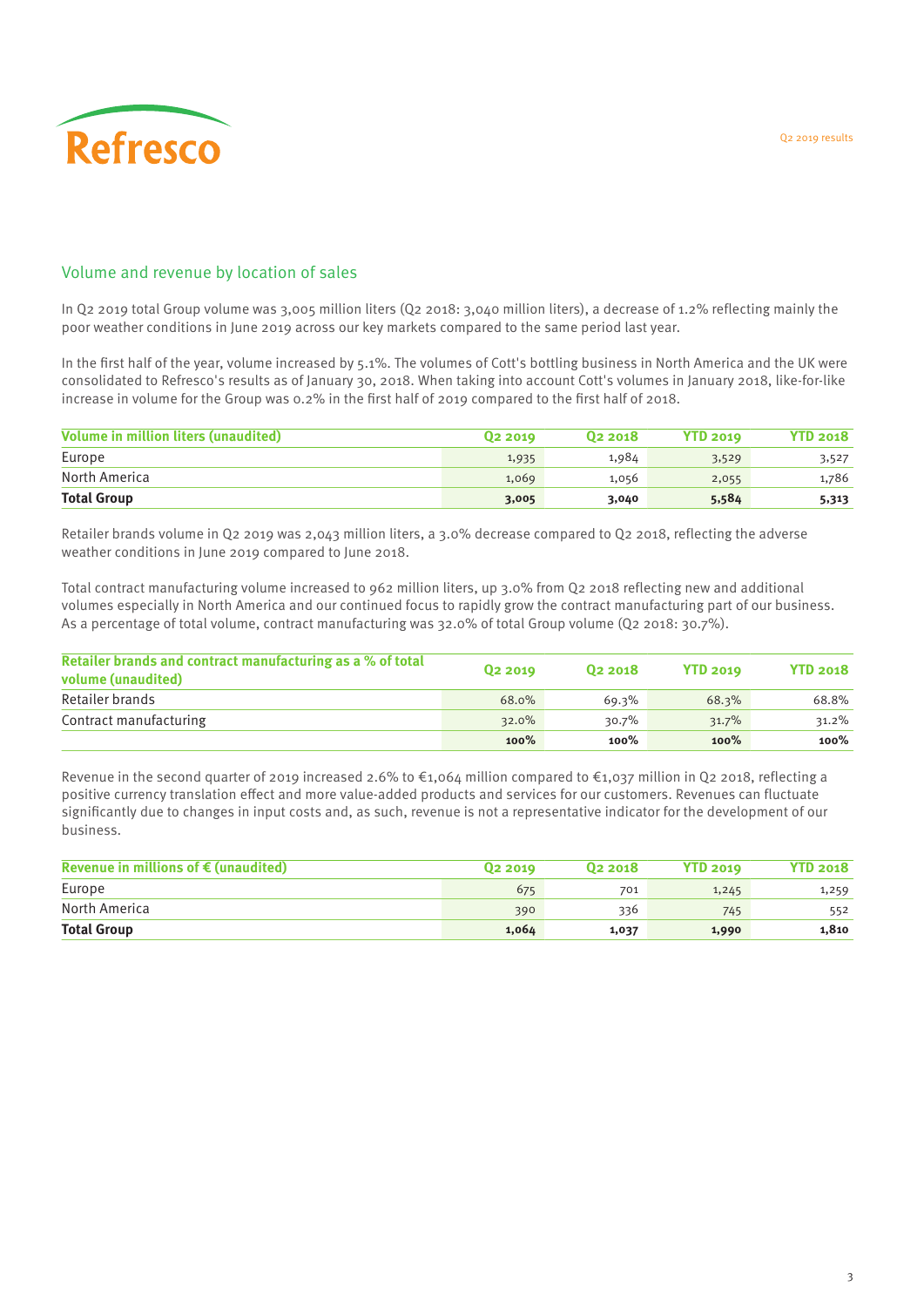

#### Volume and revenue by location of sales

In Q2 2019 total Group volume was 3,005 million liters (Q2 2018: 3,040 million liters), a decrease of 1.2% reflecting mainly the poor weather conditions in June 2019 across our key markets compared to the same period last year.

In the first half of the year, volume increased by 5.1%. The volumes of Cott's bottling business in North America and the UK were consolidated to Refresco's results as of January 30, 2018. When taking into account Cott's volumes in January 2018, like-for-like increase in volume for the Group was 0.2% in the first half of 2019 compared to the first half of 2018.

| <b>Volume in million liters (unaudited)</b> | 02 2019 | 02 2018 | <b>YTD 2019</b> | <b>YTD 2018</b> |
|---------------------------------------------|---------|---------|-----------------|-----------------|
| Europe                                      | 1,935   | 1,984   | 3,529           | 3,527           |
| North America                               | 1,069   | 1,056   | 2,055           | 1,786           |
| <b>Total Group</b>                          | 3,005   | 3,040   | 5,584           | 5,313           |

Retailer brands volume in Q2 2019 was 2,043 million liters, a 3.0% decrease compared to Q2 2018, reflecting the adverse weather conditions in June 2019 compared to June 2018.

Total contract manufacturing volume increased to 962 million liters, up 3.0% from Q2 2018 reflecting new and additional volumes especially in North America and our continued focus to rapidly grow the contract manufacturing part of our business. As a percentage of total volume, contract manufacturing was 32.0% of total Group volume (Q2 2018: 30.7%).

| Retailer brands and contract manufacturing as a % of total<br>volume (unaudited) | 02 2019 | 02 2018 | <b>YTD 2019</b> | <b>YTD 2018</b> |
|----------------------------------------------------------------------------------|---------|---------|-----------------|-----------------|
| Retailer brands                                                                  | 68.0%   | 69.3%   | 68.3%           | 68.8%           |
| Contract manufacturing                                                           | 32.0%   | 30.7%   | 31.7%           | $31.2\%$        |
|                                                                                  | 100%    | 100%    | 100%            | $100\%$         |

Revenue in the second quarter of 2019 increased 2.6% to €1,064 million compared to €1,037 million in Q2 2018, reflecting a positive currency translation effect and more value-added products and services for our customers. Revenues can fluctuate significantly due to changes in input costs and, as such, revenue is not a representative indicator for the development of our business.

| Revenue in millions of $\epsilon$ (unaudited) | 02 2019 | 02 2018 | <b>YTD 2019</b> | <b>YTD 2018</b> |
|-----------------------------------------------|---------|---------|-----------------|-----------------|
| Europe                                        | 675     | 701     | 1,245           | 1,259           |
| North America                                 | 390     | 336     | 745             | 552             |
| <b>Total Group</b>                            | 1,064   | 1,037   | 1,990           | 1,810           |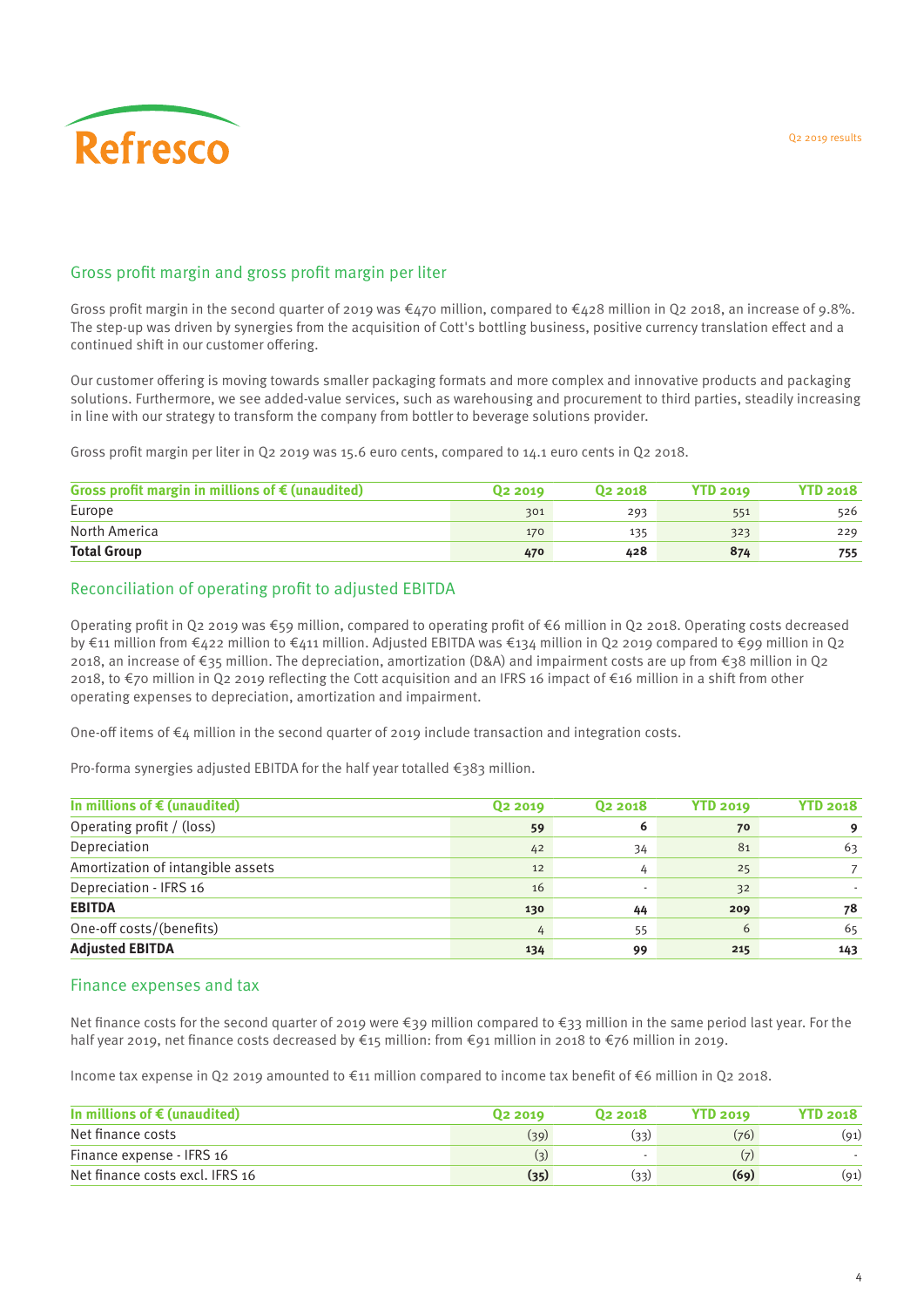

#### Gross profit margin and gross profit margin per liter

Gross profit margin in the second quarter of 2019 was  $\epsilon_{470}$  million, compared to  $\epsilon_{428}$  million in Q2 2018, an increase of 9.8%. The step-up was driven by synergies from the acquisition of Cott's bottling business, positive currency translation effect and a continued shift in our customer offering.

Our customer offering is moving towards smaller packaging formats and more complex and innovative products and packaging solutions. Furthermore, we see added-value services, such as warehousing and procurement to third parties, steadily increasing in line with our strategy to transform the company from bottler to beverage solutions provider.

Gross profit margin per liter in Q2 2019 was 15.6 euro cents, compared to 14.1 euro cents in Q2 2018.

| Gross profit margin in millions of $\epsilon$ (unaudited) | 02 2019 | 02 2018 | <b>YTD 2019</b> | <b>YTD 2018</b> |
|-----------------------------------------------------------|---------|---------|-----------------|-----------------|
| Europe                                                    | 301     | 293     | 551             | 526             |
| North America                                             | 170     | 135     | 323             | 229             |
| <b>Total Group</b>                                        | 470     | 428     | 874             | 755             |

#### Reconciliation of operating profit to adjusted EBITDA

Operating profit in Q2 2019 was  $\epsilon_{59}$  million, compared to operating profit of  $\epsilon$ 6 million in Q2 2018. Operating costs decreased by €11 million from €422 million to €411 million. Adjusted EBITDA was €134 million in Q2 2019 compared to €99 million in Q2 2018, an increase of €35 million. The depreciation, amortization (D&A) and impairment costs are up from €38 million in Q2 2018, to €70 million in Q2 2019 reflecting the Cott acquisition and an IFRS 16 impact of €16 million in a shift from other operating expenses to depreciation, amortization and impairment.

One-off items of  $\epsilon_4$  million in the second quarter of 2019 include transaction and integration costs.

Pro-forma synergies adjusted EBITDA for the half year totalled €383 million.

| In millions of $\epsilon$ (unaudited) | Q <sub>2</sub> 2019 | Q <sub>2</sub> 2018      | <b>YTD 2019</b> | <b>YTD 2018</b> |
|---------------------------------------|---------------------|--------------------------|-----------------|-----------------|
| Operating profit / (loss)             | 59                  | 6                        | 70              |                 |
| Depreciation                          | 42                  | 34                       | 81              | 63              |
| Amortization of intangible assets     | 12                  | 4                        | 25              |                 |
| Depreciation - IFRS 16                | 16                  | $\overline{\phantom{a}}$ | 32              |                 |
| <b>EBITDA</b>                         | 130                 | 44                       | 209             | 78              |
| One-off costs/(benefits)              | 4                   | 55                       | 6               | 65              |
| <b>Adjusted EBITDA</b>                | 134                 | 99                       | 215             | 143             |

#### Finance expenses and tax

Net finance costs for the second quarter of 2019 were €39 million compared to €33 million in the same period last year. For the half year 2019, net finance costs decreased by €15 million: from €91 million in 2018 to €76 million in 2019.

Income tax expense in Q2 2019 amounted to €11 million compared to income tax benefit of €6 million in Q2 2018.

| In millions of $\epsilon$ (unaudited) | 02 2019 | 02 2018 | <b>YTD 2019</b> | <b>YTD 2018</b> |
|---------------------------------------|---------|---------|-----------------|-----------------|
| Net finance costs                     | (39)    | (33)    | (76)            | (91)            |
| Finance expense - IFRS 16             | (3)     |         |                 |                 |
| Net finance costs excl. IFRS 16       | (35)    | (33)    | (69)            | (91)            |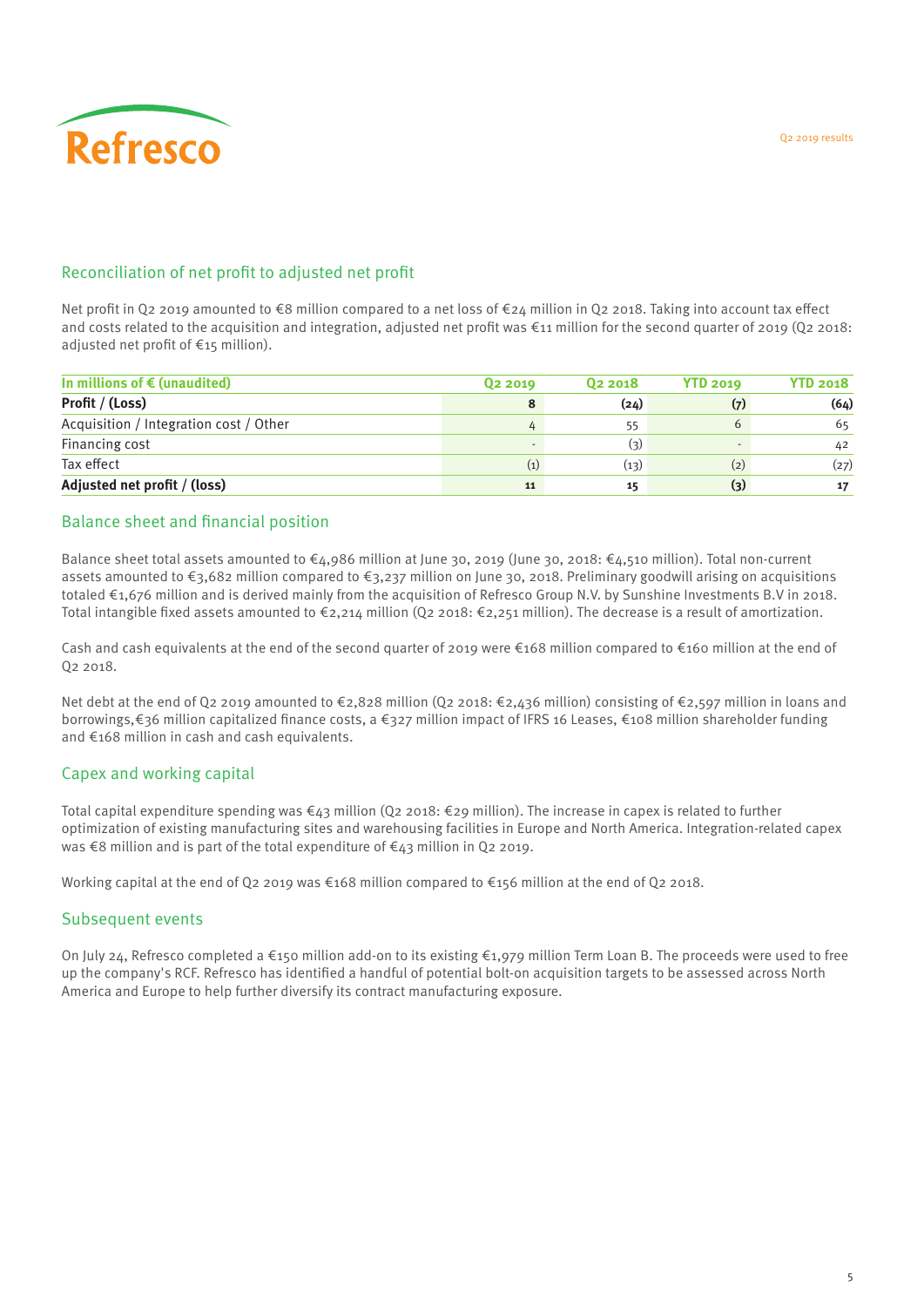#### Reconciliation of net profit to adjusted net profit

Net profit in Q2 2019 amounted to €8 million compared to a net loss of €24 million in Q2 2018. Taking into account tax effect and costs related to the acquisition and integration, adjusted net profit was  $\epsilon$ 11 million for the second quarter of 2019 (Q2 2018: adjusted net profit of  $\epsilon$ 15 million).

| In millions of $\epsilon$ (unaudited)  | Q <sub>2</sub> 2019 | 02 2018 | <b>YTD 2019</b>  | <b>YTD 2018</b> |
|----------------------------------------|---------------------|---------|------------------|-----------------|
| Profit / (Loss)                        | 8                   | (24)    | (7)              | (64)            |
| Acquisition / Integration cost / Other | 4                   | 55      | 6                | 65              |
| Financing cost                         |                     | (3)     |                  | 42              |
| Tax effect                             | (1)                 | (13)    | (2)              | (27)            |
| Adjusted net profit / (loss)           | 11                  | 15      | $\left(3\right)$ | 17              |

#### Balance sheet and financial position

Balance sheet total assets amounted to €4,986 million at June 30, 2019 (June 30, 2018: €4,510 million). Total non-current assets amounted to €3,682 million compared to €3,237 million on June 30, 2018. Preliminary goodwill arising on acquisitions totaled €1,676 million and is derived mainly from the acquisition of Refresco Group N.V. by Sunshine Investments B.V in 2018. Total intangible fixed assets amounted to €2,214 million (Q2 2018: €2,251 million). The decrease is a result of amortization.

Cash and cash equivalents at the end of the second quarter of 2019 were €168 million compared to €160 million at the end of Q2 2018.

Net debt at the end of Q2 2019 amounted to €2,828 million (Q2 2018: €2,436 million) consisting of €2,597 million in loans and borrowings,€36 million capitalized finance costs, a €327 million impact of IFRS 16 Leases, €108 million shareholder funding and €168 million in cash and cash equivalents.

#### Capex and working capital

Total capital expenditure spending was €43 million (Q2 2018: €29 million). The increase in capex is related to further optimization of existing manufacturing sites and warehousing facilities in Europe and North America. Integration-related capex was €8 million and is part of the total expenditure of €43 million in Q2 2019.

Working capital at the end of Q2 2019 was €168 million compared to €156 million at the end of Q2 2018.

#### Subsequent events

On July 24, Refresco completed a €150 million add-on to its existing €1,979 million Term Loan B. The proceeds were used to free up the company's RCF. Refresco has identified a handful of potential bolt-on acquisition targets to be assessed across North America and Europe to help further diversify its contract manufacturing exposure.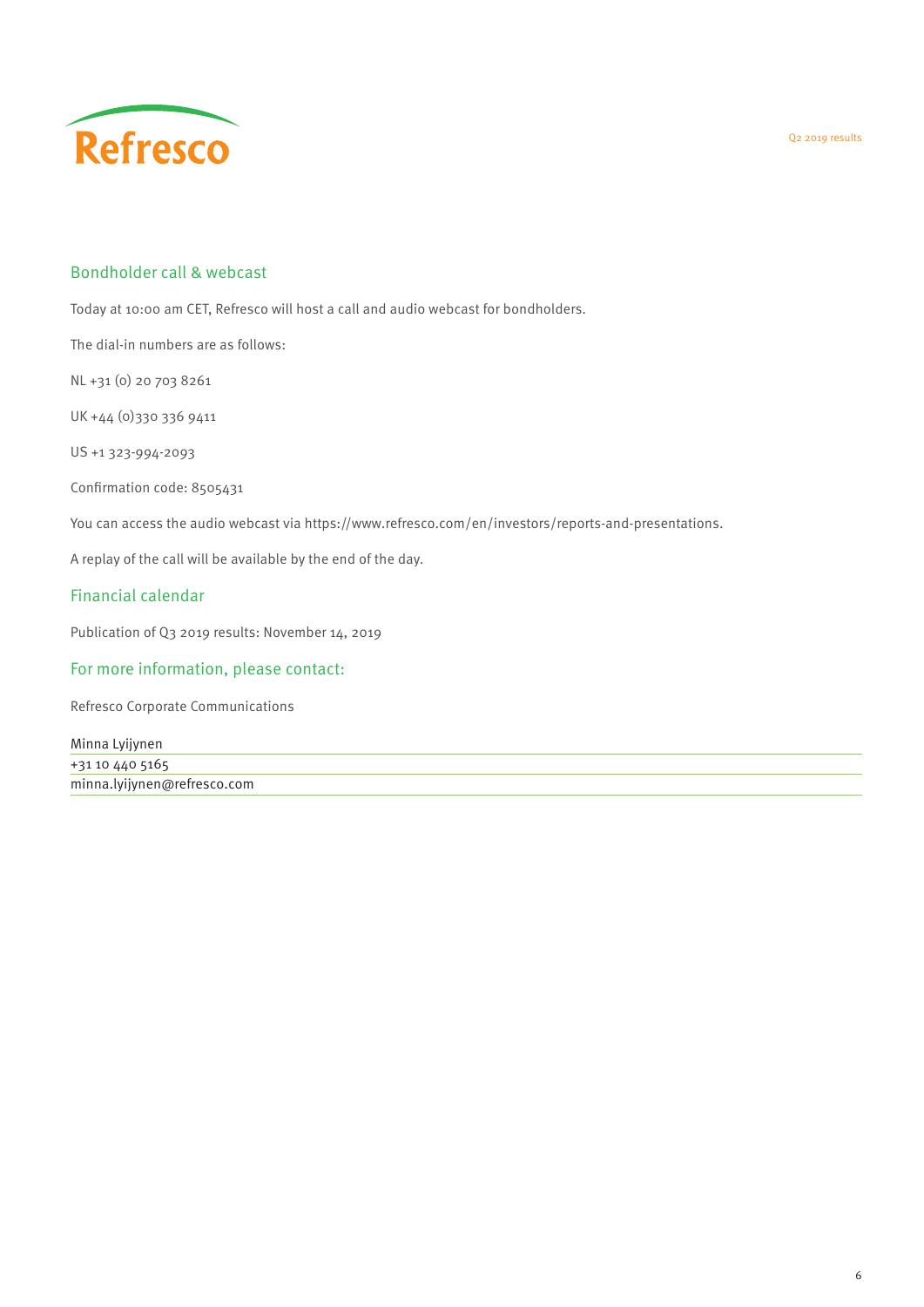

#### Bondholder call & webcast

Today at 10:00 am CET, Refresco will host a call and audio webcast for bondholders.

The dial-in numbers are as follows:

NL +31 (0) 20 703 8261

UK +44 (0)330 336 9411

US +1 323-994-2093

Confirmation code: 8505431

You can access the audio webcast via [https://www.refresco.com/en/investors/reports-and-presentations.](https://www.refresco.com/en/investors/reports-and-presentations#2018)

A replay of the call will be available by the end of the day.

#### Financial calendar

Publication of Q3 2019 results: November 14, 2019

#### For more information, please contact:

Refresco Corporate Communications

| Minna Lyijynen              |  |
|-----------------------------|--|
| +31 10 440 5165             |  |
| minna.lyijynen@refresco.com |  |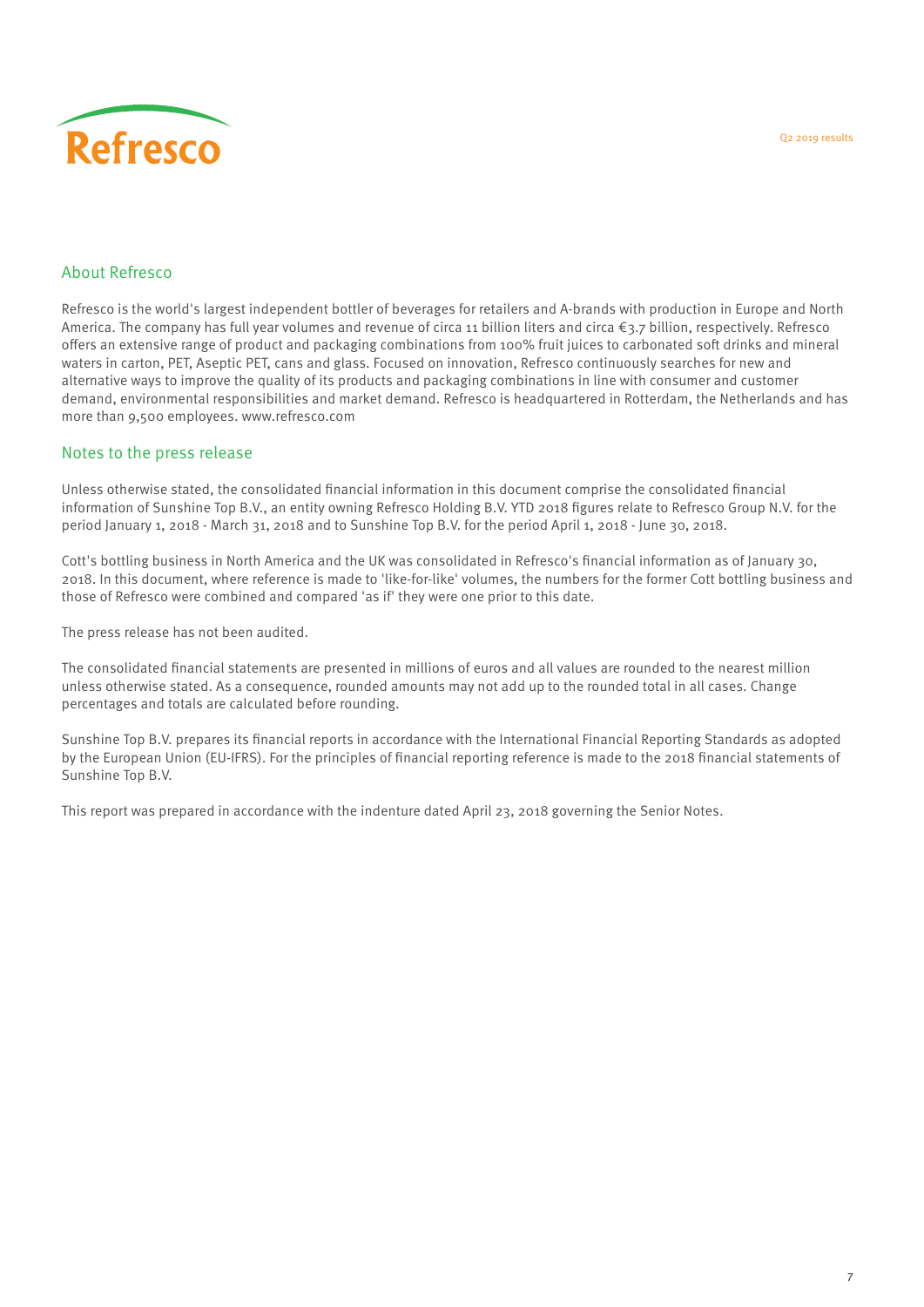#### About Refresco

Refresco is the world's largest independent bottler of beverages for retailers and A-brands with production in Europe and North America. The company has full year volumes and revenue of circa 11 billion liters and circa €3.7 billion, respectively. Refresco offers an extensive range of product and packaging combinations from 100% fruit juices to carbonated soft drinks and mineral waters in carton, PET, Aseptic PET, cans and glass. Focused on innovation, Refresco continuously searches for new and alternative ways to improve the quality of its products and packaging combinations in line with consumer and customer demand, environmental responsibilities and market demand. Refresco is headquartered in Rotterdam, the Netherlands and has more than 9,500 employees. www.refresco.com

#### Notes to the press release

Unless otherwise stated, the consolidated financial information in this document comprise the consolidated financial information of Sunshine Top B.V., an entity owning Refresco Holding B.V. YTD 2018 figures relate to Refresco Group N.V. for the period January 1, 2018 - March 31, 2018 and to Sunshine Top B.V. for the period April 1, 2018 - June 30, 2018.

Cott's bottling business in North America and the UK was consolidated in Refresco's financial information as of January 30, 2018. In this document, where reference is made to 'like-for-like' volumes, the numbers for the former Cott bottling business and those of Refresco were combined and compared 'as if' they were one prior to this date.

The press release has not been audited.

The consolidated financial statements are presented in millions of euros and all values are rounded to the nearest million unless otherwise stated. As a consequence, rounded amounts may not add up to the rounded total in all cases. Change percentages and totals are calculated before rounding.

Sunshine Top B.V. prepares its financial reports in accordance with the International Financial Reporting Standards as adopted by the European Union (EU-IFRS). For the principles of financial reporting reference is made to the 2018 financial statements of Sunshine Top B.V.

This report was prepared in accordance with the indenture dated April 23, 2018 governing the Senior Notes.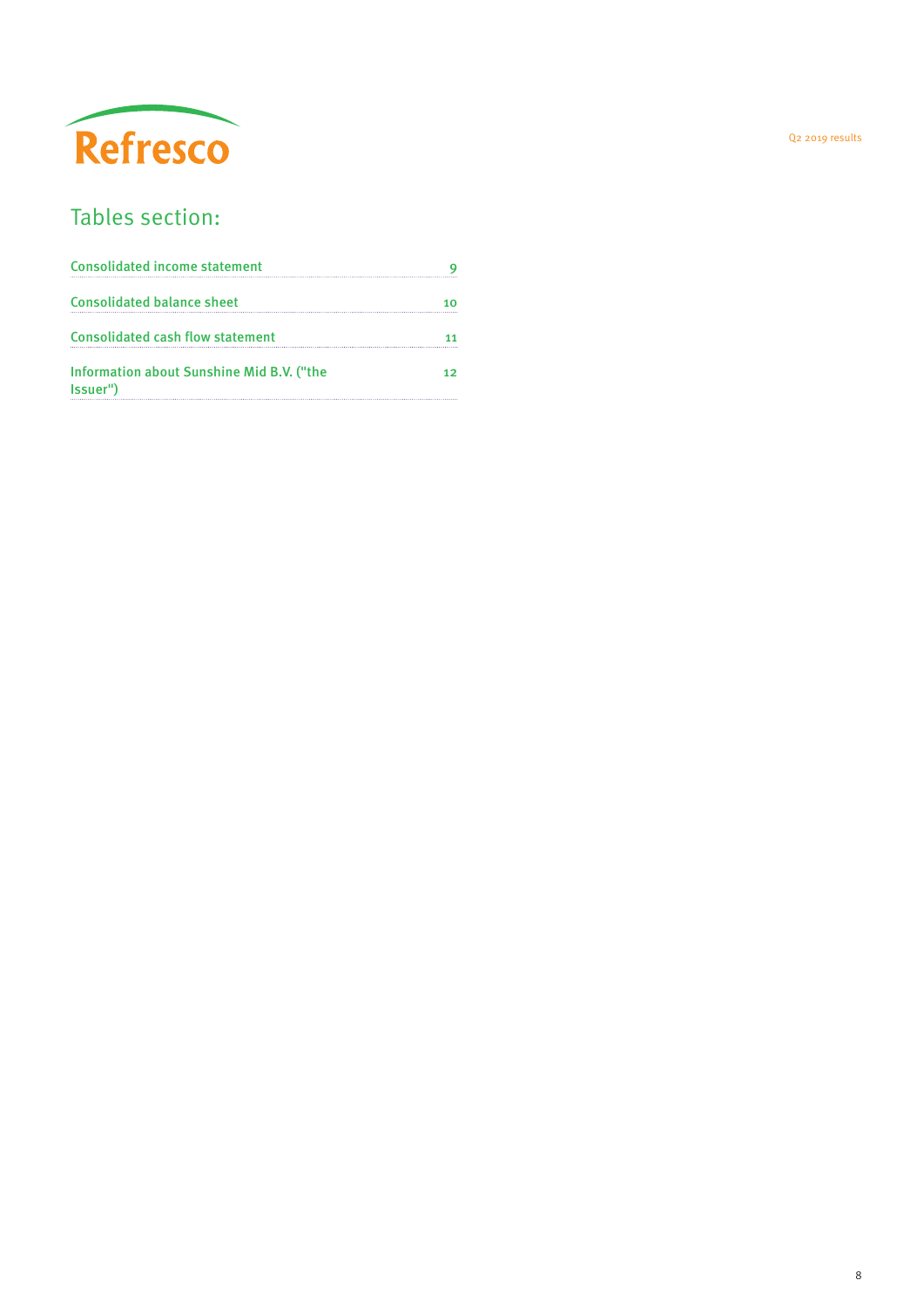

## Tables section:

| <b>Consolidated income statement</b>                  |   |
|-------------------------------------------------------|---|
| <b>Consolidated balance sheet</b>                     | ោ |
| <b>Consolidated cash flow statement</b>               |   |
| Information about Sunshine Mid B.V. ("the<br>Issuer") |   |

Q2 2019 results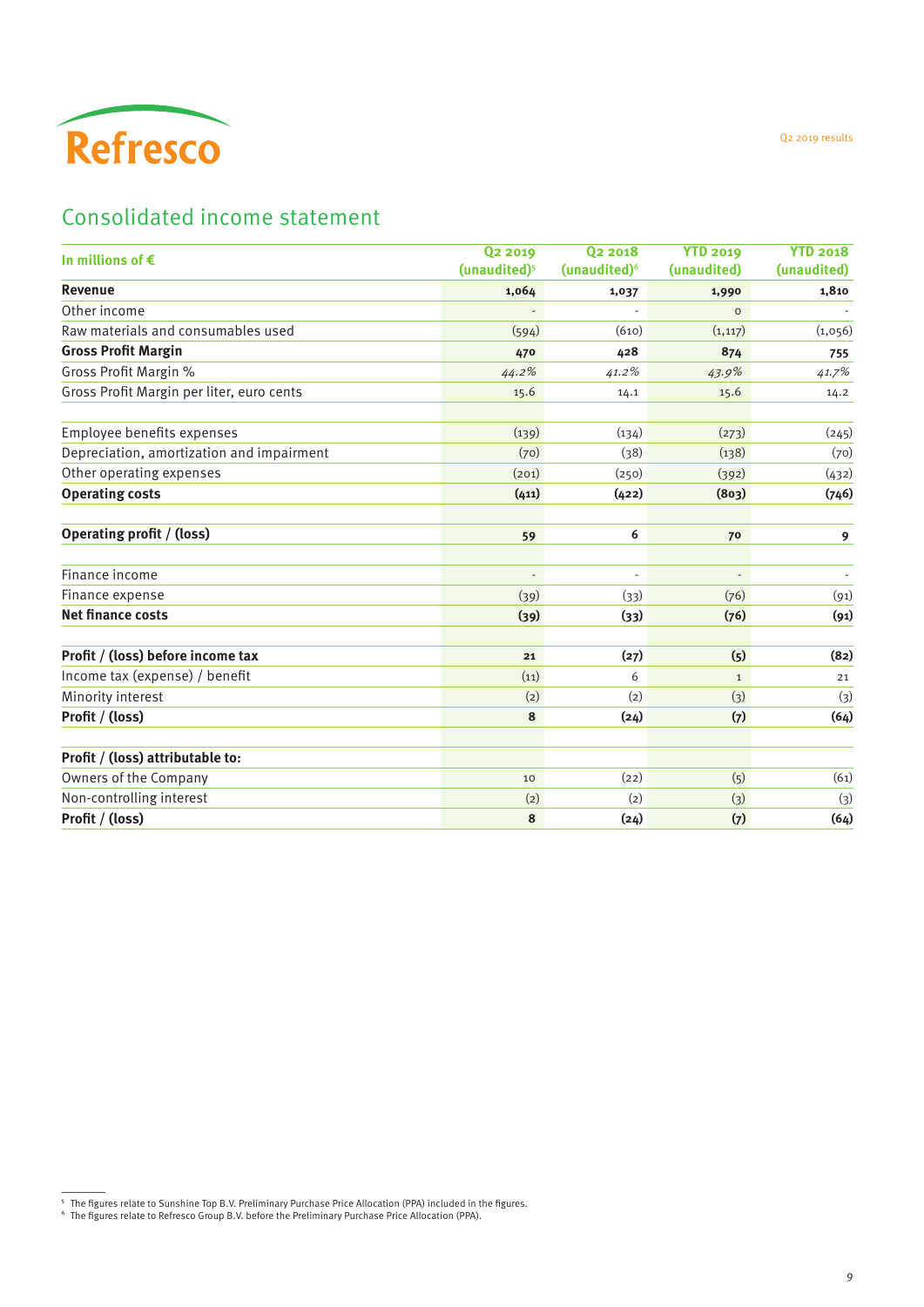<span id="page-8-0"></span>

## Consolidated income statement

| In millions of $\epsilon$                 | <b>Q2 2019</b><br>(unaudited) <sup>5</sup> | 02 2018<br>(unaudited) <sup>6</sup> | <b>YTD 2019</b><br>(unaudited) | <b>YTD 2018</b><br>(unaudited) |
|-------------------------------------------|--------------------------------------------|-------------------------------------|--------------------------------|--------------------------------|
| Revenue                                   | 1,064                                      | 1,037                               | 1,990                          | 1,810                          |
| Other income                              |                                            |                                     | $\Omega$                       |                                |
| Raw materials and consumables used        | (594)                                      | (610)                               | (1, 117)                       | (1,056)                        |
| <b>Gross Profit Margin</b>                | 470                                        | 428                                 | 874                            | 755                            |
| Gross Profit Margin %                     | 44.2%                                      | 41.2%                               | 43.9%                          | 41.7%                          |
| Gross Profit Margin per liter, euro cents | 15.6                                       | 14.1                                | 15.6                           | 14.2                           |
| Employee benefits expenses                | (139)                                      | (134)                               | (273)                          | (245)                          |
| Depreciation, amortization and impairment | (70)                                       | (38)                                | (138)                          | (70)                           |
| Other operating expenses                  | (201)                                      | (250)                               | (392)                          | (432)                          |
| <b>Operating costs</b>                    | (411)                                      | (422)                               | (803)                          | (746)                          |
| <b>Operating profit / (loss)</b>          | 59                                         | 6                                   | 70                             | $\mathbf{9}$                   |
| Finance income                            | $\overline{\phantom{a}}$                   | $\overline{\phantom{a}}$            | $\overline{\phantom{a}}$       |                                |
| Finance expense                           | (39)                                       | (33)                                | (76)                           | (91)                           |
| <b>Net finance costs</b>                  | (39)                                       | (33)                                | (76)                           | (91)                           |
| Profit / (loss) before income tax         | 21                                         | (27)                                | (5)                            | (82)                           |
| Income tax (expense) / benefit            | (11)                                       | 6                                   | $\mathbf{1}$                   | 21                             |
| Minority interest                         | (2)                                        | (2)                                 | $(3)$                          | (3)                            |
| Profit / (loss)                           | 8                                          | (24)                                | (7)                            | (64)                           |
| Profit / (loss) attributable to:          |                                            |                                     |                                |                                |
| Owners of the Company                     | 10                                         | (22)                                | (5)                            | (61)                           |
| Non-controlling interest                  | (2)                                        | (2)                                 | $(3)$                          | (3)                            |
| Profit / (loss)                           | 8                                          | (24)                                | (7)                            | (64)                           |

Q2 2019 results

 $^{\rm 5}$  The figures relate to Sunshine Top B.V. Preliminary Purchase Price Allocation (PPA) included in the figures.<br> $^{\rm 6}$  The figures relate to Refresco Group B.V. before the Preliminary Purchase Price Allocation (PPA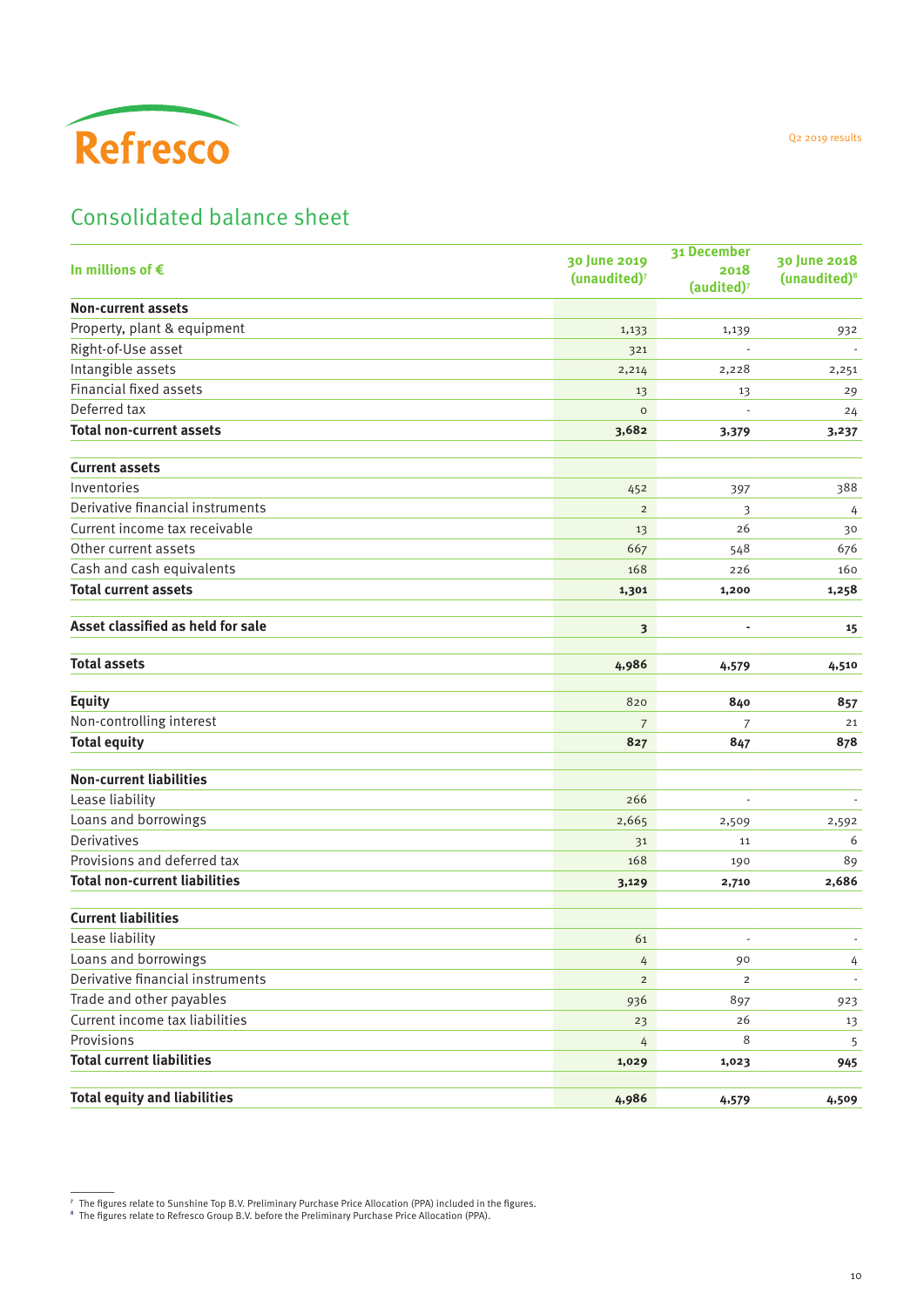<span id="page-9-0"></span>

## Consolidated balance sheet

| In millions of $\epsilon$            | 30 June 2019<br>(unaudited) <sup>7</sup> | 31 December<br>2018<br>(audited) <sup>7</sup> | 30 June 2018<br>(unaudited) <sup>8</sup> |
|--------------------------------------|------------------------------------------|-----------------------------------------------|------------------------------------------|
| <b>Non-current assets</b>            |                                          |                                               |                                          |
| Property, plant & equipment          | 1,133                                    | 1,139                                         | 932                                      |
| Right-of-Use asset                   | 321                                      |                                               |                                          |
| Intangible assets                    | 2,214                                    | 2,228                                         | 2,251                                    |
| Financial fixed assets               | 13                                       | 13                                            | 29                                       |
| Deferred tax                         | $\circ$                                  |                                               | 24                                       |
| <b>Total non-current assets</b>      | 3,682                                    | 3,379                                         | 3,237                                    |
| <b>Current assets</b>                |                                          |                                               |                                          |
| Inventories                          | 452                                      | 397                                           | 388                                      |
| Derivative financial instruments     | $\overline{2}$                           | 3                                             | 4                                        |
| Current income tax receivable        | 13                                       | 26                                            | 30                                       |
| Other current assets                 | 667                                      | 548                                           | 676                                      |
| Cash and cash equivalents            | 168                                      | 226                                           | 160                                      |
| <b>Total current assets</b>          | 1,301                                    | 1,200                                         | 1,258                                    |
| Asset classified as held for sale    | 3                                        | ÷,                                            | 15                                       |
| <b>Total assets</b>                  | 4,986                                    | 4,579                                         | 4,510                                    |
| <b>Equity</b>                        | 820                                      | 840                                           | 857                                      |
| Non-controlling interest             | $\overline{7}$                           | 7                                             | 21                                       |
| <b>Total equity</b>                  | 827                                      | 847                                           | 878                                      |
| <b>Non-current liabilities</b>       |                                          |                                               |                                          |
| Lease liability                      | 266                                      |                                               |                                          |
| Loans and borrowings                 | 2,665                                    | 2,509                                         | 2,592                                    |
| <b>Derivatives</b>                   | 31                                       | 11                                            | 6                                        |
| Provisions and deferred tax          | 168                                      | 190                                           | 89                                       |
| <b>Total non-current liabilities</b> | 3,129                                    | 2,710                                         | 2,686                                    |
| <b>Current liabilities</b>           |                                          |                                               |                                          |
| Lease liability                      | 61                                       |                                               | $\overline{\phantom{a}}$                 |
| Loans and borrowings                 | 4                                        | 90                                            | 4                                        |
| Derivative financial instruments     | $\overline{c}$                           | $\overline{2}$                                | $\overline{\phantom{a}}$                 |
| Trade and other payables             | 936                                      | 897                                           | 923                                      |
| Current income tax liabilities       | 23                                       | 26                                            | 13                                       |
| Provisions                           | 4                                        | 8                                             | 5                                        |
| <b>Total current liabilities</b>     | 1,029                                    | 1,023                                         | 945                                      |
| <b>Total equity and liabilities</b>  | 4,986                                    | 4,579                                         | 4,509                                    |

Q2 2019 results

<sup>&</sup>lt;sup>7</sup> The figures relate to Sunshine Top B.V. Preliminary Purchase Price Allocation (PPA) included in the figures.<br><sup>8</sup> The figures relate to Refresco Group B.V. before the Preliminary Purchase Price Allocation (PPA).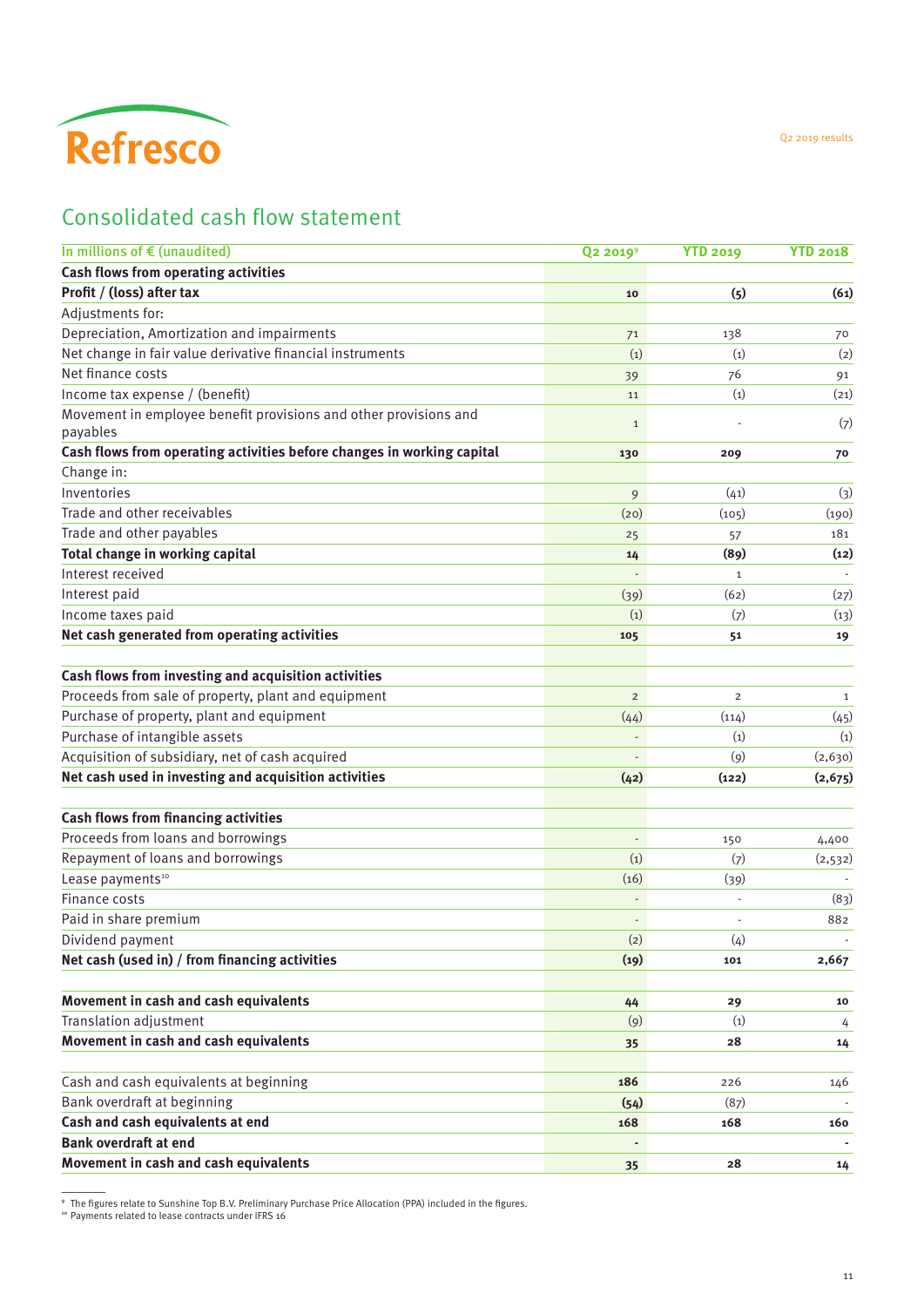<span id="page-10-0"></span>

## Consolidated cash flow statement

| In millions of $\epsilon$ (unaudited)<br>Cash flows from operating activities<br>Profit / (loss) after tax<br>Adjustments for:<br>Depreciation, Amortization and impairments<br>Net change in fair value derivative financial instruments<br>Net finance costs<br>Income tax expense / (benefit)<br>Movement in employee benefit provisions and other provisions and<br>payables | Q <sub>2</sub> 2019 <sup>9</sup><br>10<br>71<br>(1)<br>39<br>11<br>$\mathbf{1}$<br>130<br>9<br>(20)<br>25<br>14<br>(39) | <b>YTD 2019</b><br>(5)<br>138<br>(1)<br>76<br>(1)<br>209<br>(41)<br>(105)<br>57<br>(89) | <b>YTD 2018</b><br>(61)<br>70<br>(2)<br>91<br>(21)<br>(7)<br>70<br>(3)<br>(190)<br>181 |
|----------------------------------------------------------------------------------------------------------------------------------------------------------------------------------------------------------------------------------------------------------------------------------------------------------------------------------------------------------------------------------|-------------------------------------------------------------------------------------------------------------------------|-----------------------------------------------------------------------------------------|----------------------------------------------------------------------------------------|
|                                                                                                                                                                                                                                                                                                                                                                                  |                                                                                                                         |                                                                                         |                                                                                        |
|                                                                                                                                                                                                                                                                                                                                                                                  |                                                                                                                         |                                                                                         |                                                                                        |
|                                                                                                                                                                                                                                                                                                                                                                                  |                                                                                                                         |                                                                                         |                                                                                        |
|                                                                                                                                                                                                                                                                                                                                                                                  |                                                                                                                         |                                                                                         |                                                                                        |
|                                                                                                                                                                                                                                                                                                                                                                                  |                                                                                                                         |                                                                                         |                                                                                        |
|                                                                                                                                                                                                                                                                                                                                                                                  |                                                                                                                         |                                                                                         |                                                                                        |
|                                                                                                                                                                                                                                                                                                                                                                                  |                                                                                                                         |                                                                                         |                                                                                        |
|                                                                                                                                                                                                                                                                                                                                                                                  |                                                                                                                         |                                                                                         |                                                                                        |
|                                                                                                                                                                                                                                                                                                                                                                                  |                                                                                                                         |                                                                                         |                                                                                        |
| Cash flows from operating activities before changes in working capital                                                                                                                                                                                                                                                                                                           |                                                                                                                         |                                                                                         |                                                                                        |
| Change in:                                                                                                                                                                                                                                                                                                                                                                       |                                                                                                                         |                                                                                         |                                                                                        |
| Inventories                                                                                                                                                                                                                                                                                                                                                                      |                                                                                                                         |                                                                                         |                                                                                        |
| Trade and other receivables                                                                                                                                                                                                                                                                                                                                                      |                                                                                                                         |                                                                                         |                                                                                        |
| Trade and other payables                                                                                                                                                                                                                                                                                                                                                         |                                                                                                                         |                                                                                         |                                                                                        |
| Total change in working capital                                                                                                                                                                                                                                                                                                                                                  |                                                                                                                         |                                                                                         | (12)                                                                                   |
| Interest received                                                                                                                                                                                                                                                                                                                                                                |                                                                                                                         | $\mathbf{1}$                                                                            |                                                                                        |
| Interest paid                                                                                                                                                                                                                                                                                                                                                                    |                                                                                                                         | (62)                                                                                    | (27)                                                                                   |
| Income taxes paid                                                                                                                                                                                                                                                                                                                                                                | (1)                                                                                                                     | (7)                                                                                     | (13)                                                                                   |
| Net cash generated from operating activities                                                                                                                                                                                                                                                                                                                                     | 105                                                                                                                     | 51                                                                                      | 19                                                                                     |
|                                                                                                                                                                                                                                                                                                                                                                                  |                                                                                                                         |                                                                                         |                                                                                        |
| Cash flows from investing and acquisition activities                                                                                                                                                                                                                                                                                                                             |                                                                                                                         |                                                                                         |                                                                                        |
| Proceeds from sale of property, plant and equipment                                                                                                                                                                                                                                                                                                                              | $\overline{2}$                                                                                                          | $\overline{2}$                                                                          | 1                                                                                      |
| Purchase of property, plant and equipment                                                                                                                                                                                                                                                                                                                                        | (44)                                                                                                                    | (114)                                                                                   | (45)                                                                                   |
| Purchase of intangible assets                                                                                                                                                                                                                                                                                                                                                    |                                                                                                                         | (1)                                                                                     | (1)                                                                                    |
| Acquisition of subsidiary, net of cash acquired                                                                                                                                                                                                                                                                                                                                  |                                                                                                                         | (9)                                                                                     | (2,630)                                                                                |
| Net cash used in investing and acquisition activities                                                                                                                                                                                                                                                                                                                            | (42)                                                                                                                    | (122)                                                                                   | (2, 675)                                                                               |
|                                                                                                                                                                                                                                                                                                                                                                                  |                                                                                                                         |                                                                                         |                                                                                        |
| Cash flows from financing activities                                                                                                                                                                                                                                                                                                                                             |                                                                                                                         |                                                                                         |                                                                                        |
| Proceeds from loans and borrowings                                                                                                                                                                                                                                                                                                                                               | $\frac{1}{2}$                                                                                                           | 150                                                                                     | 4,400                                                                                  |
| Repayment of loans and borrowings                                                                                                                                                                                                                                                                                                                                                | (1)                                                                                                                     | (7)                                                                                     | (2,532)                                                                                |
| Lease payments <sup>10</sup>                                                                                                                                                                                                                                                                                                                                                     | (16)                                                                                                                    | (39)                                                                                    |                                                                                        |
| Finance costs                                                                                                                                                                                                                                                                                                                                                                    |                                                                                                                         |                                                                                         | (83)                                                                                   |
| Paid in share premium                                                                                                                                                                                                                                                                                                                                                            | $\frac{1}{2}$                                                                                                           |                                                                                         | 882                                                                                    |
| Dividend payment                                                                                                                                                                                                                                                                                                                                                                 | (2)                                                                                                                     | (4)                                                                                     |                                                                                        |
| Net cash (used in) / from financing activities                                                                                                                                                                                                                                                                                                                                   | (19)                                                                                                                    | 101                                                                                     | 2,667                                                                                  |
|                                                                                                                                                                                                                                                                                                                                                                                  |                                                                                                                         |                                                                                         |                                                                                        |
| Movement in cash and cash equivalents                                                                                                                                                                                                                                                                                                                                            | 44                                                                                                                      | 29                                                                                      | 10                                                                                     |
| Translation adjustment                                                                                                                                                                                                                                                                                                                                                           | $\left( 9\right)$                                                                                                       | (1)                                                                                     | 4                                                                                      |
| Movement in cash and cash equivalents                                                                                                                                                                                                                                                                                                                                            | 35                                                                                                                      | 28                                                                                      | 14                                                                                     |
|                                                                                                                                                                                                                                                                                                                                                                                  |                                                                                                                         |                                                                                         |                                                                                        |
| Cash and cash equivalents at beginning                                                                                                                                                                                                                                                                                                                                           | 186                                                                                                                     | 226                                                                                     | 146                                                                                    |
| Bank overdraft at beginning                                                                                                                                                                                                                                                                                                                                                      | (54)                                                                                                                    | (87)                                                                                    |                                                                                        |
| Cash and cash equivalents at end                                                                                                                                                                                                                                                                                                                                                 | 168                                                                                                                     | 168                                                                                     | 160                                                                                    |
| <b>Bank overdraft at end</b>                                                                                                                                                                                                                                                                                                                                                     |                                                                                                                         |                                                                                         |                                                                                        |
| Movement in cash and cash equivalents                                                                                                                                                                                                                                                                                                                                            | 35                                                                                                                      | 28                                                                                      | 14                                                                                     |

 $^\circ$  The figures relate to Sunshine Top B.V. Preliminary Purchase Price Allocation (PPA) included in the figures.<br>ैº Payments related to lease contracts under IFRS 16